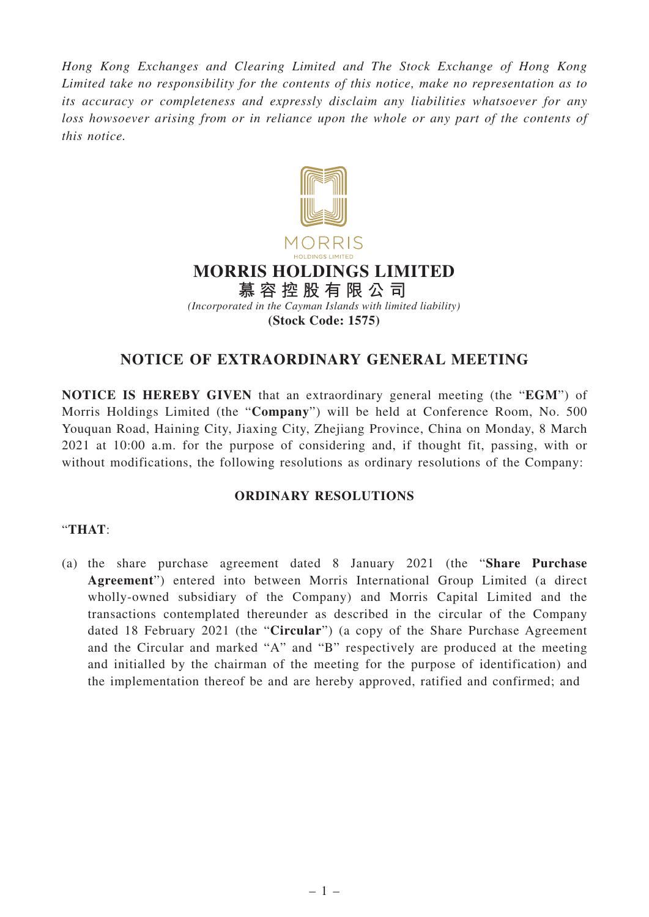*Hong Kong Exchanges and Clearing Limited and The Stock Exchange of Hong Kong Limited take no responsibility for the contents of this notice, make no representation as to its accuracy or completeness and expressly disclaim any liabilities whatsoever for any loss howsoever arising from or in reliance upon the whole or any part of the contents of this notice.*



## **NOTICE OF EXTRAORDINARY GENERAL MEETING**

**NOTICE IS HEREBY GIVEN** that an extraordinary general meeting (the "**EGM**") of Morris Holdings Limited (the "**Company**") will be held at Conference Room, No. 500 Youquan Road, Haining City, Jiaxing City, Zhejiang Province, China on Monday, 8 March 2021 at 10:00 a.m. for the purpose of considering and, if thought fit, passing, with or without modifications, the following resolutions as ordinary resolutions of the Company:

## **ORDINARY RESOLUTIONS**

## "**THAT**:

(a) the share purchase agreement dated 8 January 2021 (the "**Share Purchase Agreement**") entered into between Morris International Group Limited (a direct wholly-owned subsidiary of the Company) and Morris Capital Limited and the transactions contemplated thereunder as described in the circular of the Company dated 18 February 2021 (the "**Circular**") (a copy of the Share Purchase Agreement and the Circular and marked "A" and "B" respectively are produced at the meeting and initialled by the chairman of the meeting for the purpose of identification) and the implementation thereof be and are hereby approved, ratified and confirmed; and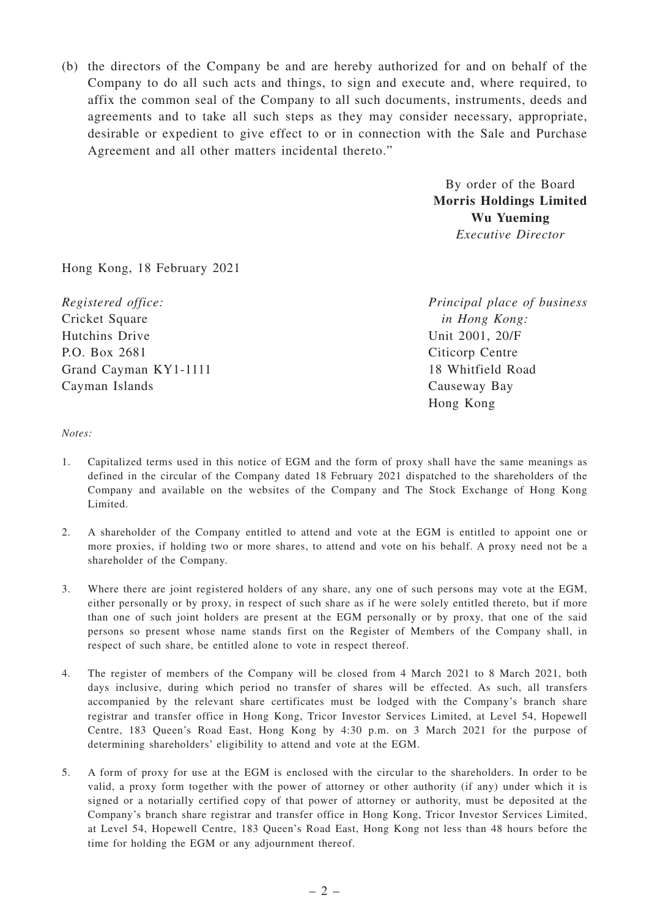(b) the directors of the Company be and are hereby authorized for and on behalf of the Company to do all such acts and things, to sign and execute and, where required, to affix the common seal of the Company to all such documents, instruments, deeds and agreements and to take all such steps as they may consider necessary, appropriate, desirable or expedient to give effect to or in connection with the Sale and Purchase Agreement and all other matters incidental thereto."

> By order of the Board **Morris Holdings Limited Wu Yueming** *Executive Director*

Hong Kong, 18 February 2021

*Registered office:* Cricket Square Hutchins Drive P.O. Box 2681 Grand Cayman KY1-1111 Cayman Islands

*Principal place of business in Hong Kong:* Unit 2001, 20/F Citicorp Centre 18 Whitfield Road Causeway Bay Hong Kong

## *Notes:*

- 1. Capitalized terms used in this notice of EGM and the form of proxy shall have the same meanings as defined in the circular of the Company dated 18 February 2021 dispatched to the shareholders of the Company and available on the websites of the Company and The Stock Exchange of Hong Kong Limited.
- 2. A shareholder of the Company entitled to attend and vote at the EGM is entitled to appoint one or more proxies, if holding two or more shares, to attend and vote on his behalf. A proxy need not be a shareholder of the Company.
- 3. Where there are joint registered holders of any share, any one of such persons may vote at the EGM, either personally or by proxy, in respect of such share as if he were solely entitled thereto, but if more than one of such joint holders are present at the EGM personally or by proxy, that one of the said persons so present whose name stands first on the Register of Members of the Company shall, in respect of such share, be entitled alone to vote in respect thereof.
- 4. The register of members of the Company will be closed from 4 March 2021 to 8 March 2021, both days inclusive, during which period no transfer of shares will be effected. As such, all transfers accompanied by the relevant share certificates must be lodged with the Company's branch share registrar and transfer office in Hong Kong, Tricor Investor Services Limited, at Level 54, Hopewell Centre, 183 Queen's Road East, Hong Kong by 4:30 p.m. on 3 March 2021 for the purpose of determining shareholders' eligibility to attend and vote at the EGM.
- 5. A form of proxy for use at the EGM is enclosed with the circular to the shareholders. In order to be valid, a proxy form together with the power of attorney or other authority (if any) under which it is signed or a notarially certified copy of that power of attorney or authority, must be deposited at the Company's branch share registrar and transfer office in Hong Kong, Tricor Investor Services Limited, at Level 54, Hopewell Centre, 183 Queen's Road East, Hong Kong not less than 48 hours before the time for holding the EGM or any adjournment thereof.